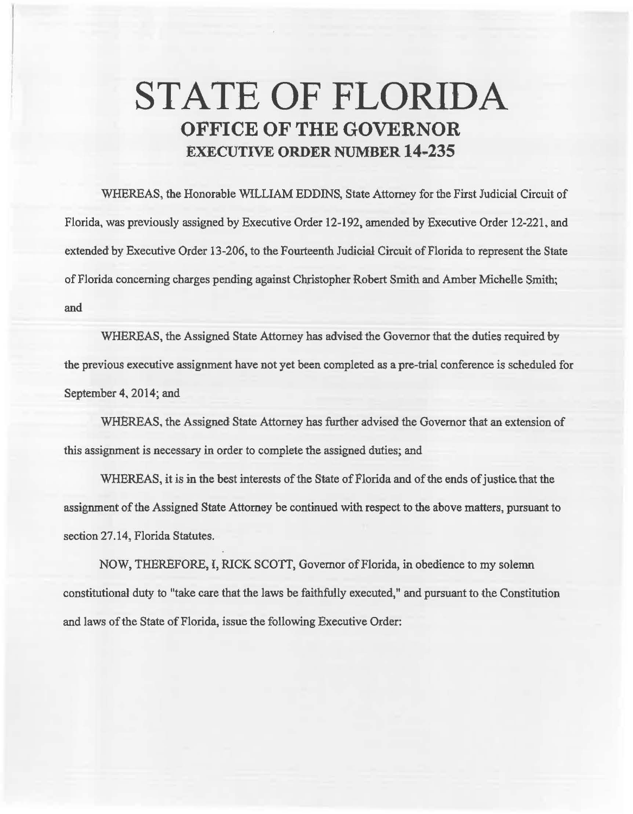## **STATE OF FLORIDA OFFICE OF THE GOVERNOR EXECUTIVE ORDER NUMBER 14-235**

WHEREAS, the Honorable WILLIAM EDDINS, State Attorney for the First Judicial Circuit of Florida, was previously assigned by Executive Order 12-192, amended by Executive Order 12-221, and extended by Executive Order 13-206, to the Fourteenth Judicial Circuit of Florida to represent the State of Florida concerning charges pending against Christopher Robert Smith and Amber Michelle Smith; and

WHEREAS, the Assigned State Attorney has advised the Governor that the duties required by the previous executive assignment have not yet been completed as a pre-trial conference is scheduled for September 4, 2014; and

WHEREAS, the Assigned State Attorney has further advised the Governor that an extension of this assignment is necessary in order to complete the assigned duties; and

WHEREAS, it is in the best interests of the State of Florida and of the ends of justice. that the assignment of the Assigned State Attorney be continued with respect to the above matters, pursuant to section 27.14, Florida Statutes.

NOW, THEREFORE, I, RICK SCOTT, Governor of Florida, in obedience to my solemn constitutional duty to "take care that the laws be faithfully executed," and pursuant to the Constitution and laws of the State of Florida, issue the following Executive Order: